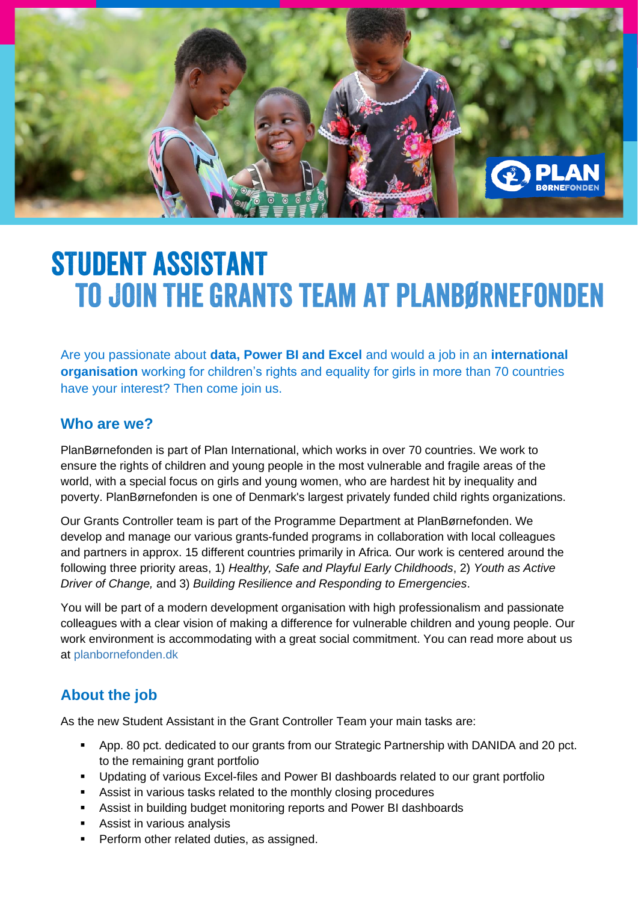

# **STUDENT ASSISTANT TO JOIN THE GRANTS TEAM AT PLANBØRNEFONDEN**

Are you passionate about **data, Power BI and Excel** and would a job in an **international organisation** working for children's rights and equality for girls in more than 70 countries have your interest? Then come join us.

#### **Who are we?**

PlanBørnefonden is part of Plan International, which works in over 70 countries. We work to ensure the rights of children and young people in the most vulnerable and fragile areas of the world, with a special focus on girls and young women, who are hardest hit by inequality and poverty. PlanBørnefonden is one of Denmark's largest privately funded child rights organizations.

Our Grants Controller team is part of the Programme Department at PlanBørnefonden. We develop and manage our various grants-funded programs in collaboration with local colleagues and partners in approx. 15 different countries primarily in Africa. Our work is centered around the following three priority areas, 1) *Healthy, Safe and Playful Early Childhoods*, 2) *Youth as Active Driver of Change,* and 3) *Building Resilience and Responding to Emergencies*.

You will be part of a modern development organisation with high professionalism and passionate colleagues with a clear vision of making a difference for vulnerable children and young people. Our work environment is accommodating with a great social commitment. You can read more about us at<planbornefonden.dk>

# **About the job**

As the new Student Assistant in the Grant Controller Team your main tasks are:

- App. 80 pct. dedicated to our grants from our Strategic Partnership with DANIDA and 20 pct. to the remaining grant portfolio
- Updating of various Excel-files and Power BI dashboards related to our grant portfolio
- Assist in various tasks related to the monthly closing procedures
- Assist in building budget monitoring reports and Power BI dashboards
- Assist in various analysis
- Perform other related duties, as assigned.